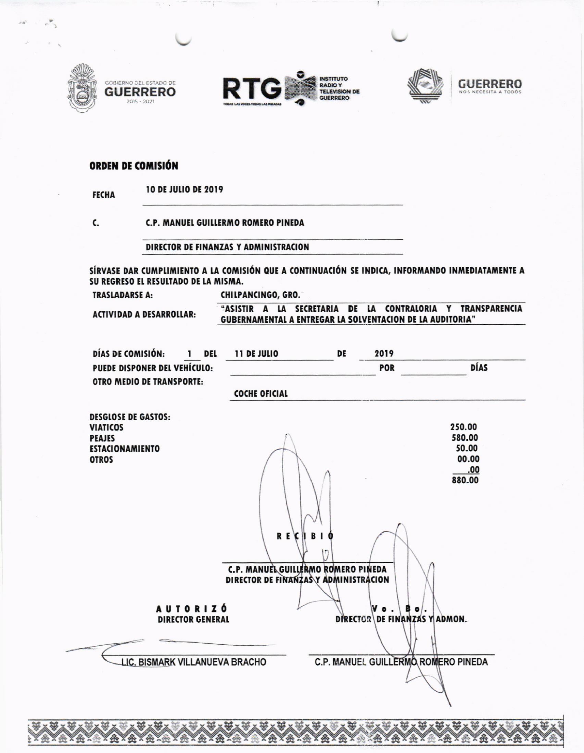







## **ORDEN DE COMISIÓN**

**10 DE JULIO DE 2019 FECHA** 

C.

**C.P. MANUEL GUILLERMO ROMERO PINEDA** 

DIRECTOR DE FINANZAS Y ADMINISTRACION

SÍRVASE DAR CUMPLIMIENTO A LA COMISIÓN QUE A CONTINUACIÓN SE INDICA, INFORMANDO INMEDIATAMENTE A SU REGRESO EL RESULTADO DE LA MISMA.

**TRASLADARSE A:** 

CHILPANCINGO, GRO.

**ACTIVIDAD A DESARROLLAR:** 

"ASISTIR A LA SECRETARIA DE LA CONTRALORIA Y TRANSPARENCIA **GUBERNAMENTAL A ENTREGAR LA SOLVENTACION DE LA AUDITORIA"** 

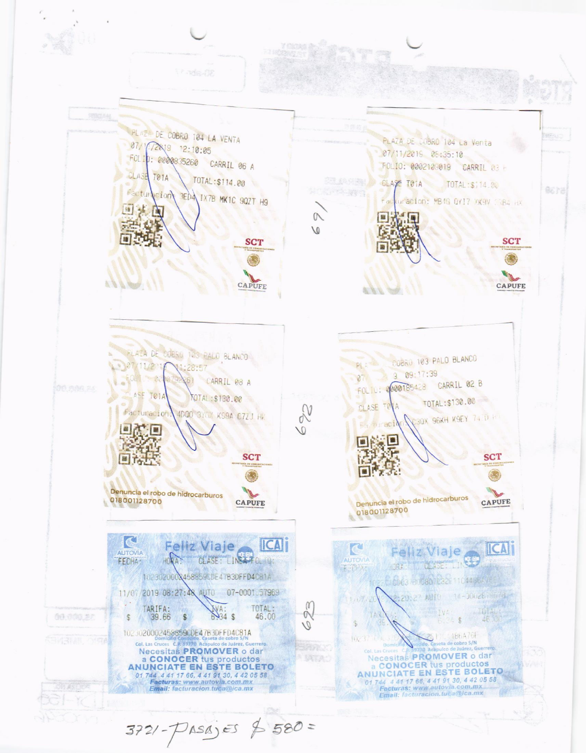